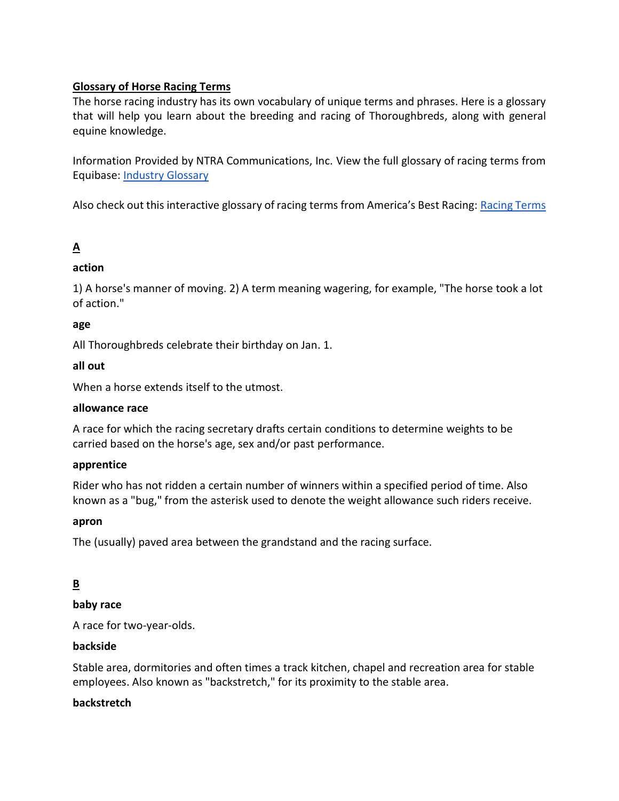# **Glossary of Horse Racing Terms**

The horse racing industry has its own vocabulary of unique terms and phrases. Here is a glossary that will help you learn about the breeding and racing of Thoroughbreds, along with general equine knowledge.

Information Provided by NTRA Communications, Inc. View the full glossary of racing terms from Equibase: [Industry Glossary](https://www.equibase.com/newfan/glossary-full.cfm)

Also check out this interactive glossary of racing terms from America's Best Racing: [Racing Terms](https://www.americasbestracing.net/terms)

# **A**

# **action**

1) A horse's manner of moving. 2) A term meaning wagering, for example, "The horse took a lot of action."

# **age**

All Thoroughbreds celebrate their birthday on Jan. 1.

### **all out**

When a horse extends itself to the utmost.

### **allowance race**

A race for which the racing secretary drafts certain conditions to determine weights to be carried based on the horse's age, sex and/or past performance.

### **apprentice**

Rider who has not ridden a certain number of winners within a specified period of time. Also known as a "bug," from the asterisk used to denote the weight allowance such riders receive.

### **apron**

The (usually) paved area between the grandstand and the racing surface.

# **B**

# **baby race**

A race for two-year-olds.

# **backside**

Stable area, dormitories and often times a track kitchen, chapel and recreation area for stable employees. Also known as "backstretch," for its proximity to the stable area.

### **backstretch**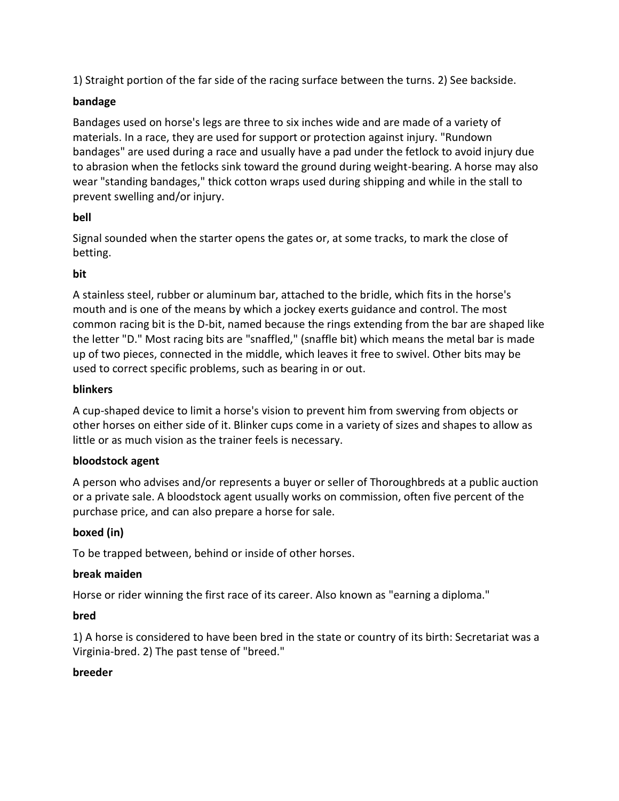1) Straight portion of the far side of the racing surface between the turns. 2) See backside.

# **bandage**

Bandages used on horse's legs are three to six inches wide and are made of a variety of materials. In a race, they are used for support or protection against injury. "Rundown bandages" are used during a race and usually have a pad under the fetlock to avoid injury due to abrasion when the fetlocks sink toward the ground during weight-bearing. A horse may also wear "standing bandages," thick cotton wraps used during shipping and while in the stall to prevent swelling and/or injury.

# **bell**

Signal sounded when the starter opens the gates or, at some tracks, to mark the close of betting.

# **bit**

A stainless steel, rubber or aluminum bar, attached to the bridle, which fits in the horse's mouth and is one of the means by which a jockey exerts guidance and control. The most common racing bit is the D-bit, named because the rings extending from the bar are shaped like the letter "D." Most racing bits are "snaffled," (snaffle bit) which means the metal bar is made up of two pieces, connected in the middle, which leaves it free to swivel. Other bits may be used to correct specific problems, such as bearing in or out.

# **blinkers**

A cup-shaped device to limit a horse's vision to prevent him from swerving from objects or other horses on either side of it. Blinker cups come in a variety of sizes and shapes to allow as little or as much vision as the trainer feels is necessary.

# **bloodstock agent**

A person who advises and/or represents a buyer or seller of Thoroughbreds at a public auction or a private sale. A bloodstock agent usually works on commission, often five percent of the purchase price, and can also prepare a horse for sale.

# **boxed (in)**

To be trapped between, behind or inside of other horses.

# **break maiden**

Horse or rider winning the first race of its career. Also known as "earning a diploma."

# **bred**

1) A horse is considered to have been bred in the state or country of its birth: Secretariat was a Virginia-bred. 2) The past tense of "breed."

# **breeder**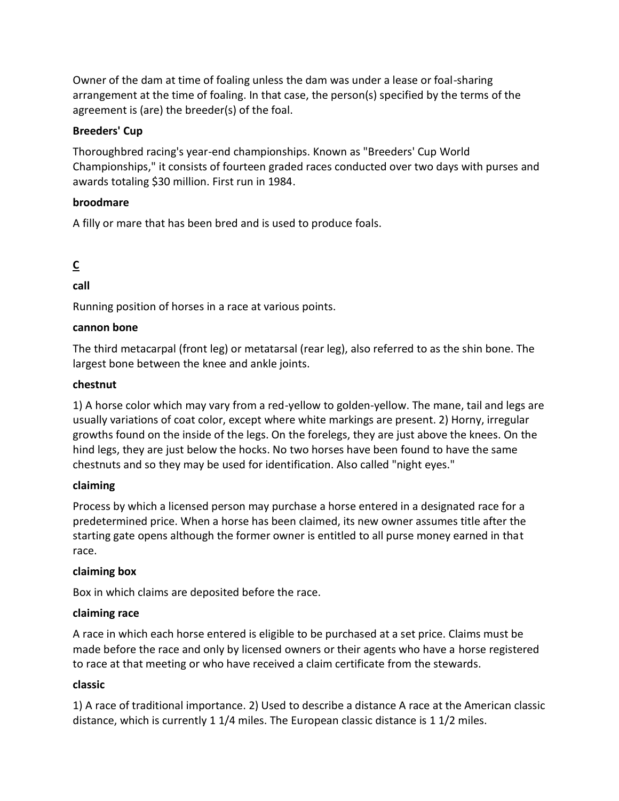Owner of the dam at time of foaling unless the dam was under a lease or foal-sharing arrangement at the time of foaling. In that case, the person(s) specified by the terms of the agreement is (are) the breeder(s) of the foal.

# **Breeders' Cup**

Thoroughbred racing's year-end championships. Known as "Breeders' Cup World Championships," it consists of fourteen graded races conducted over two days with purses and awards totaling \$30 million. First run in 1984.

# **broodmare**

A filly or mare that has been bred and is used to produce foals.

# **C**

**call**

Running position of horses in a race at various points.

# **cannon bone**

The third metacarpal (front leg) or metatarsal (rear leg), also referred to as the shin bone. The largest bone between the knee and ankle joints.

# **chestnut**

1) A horse color which may vary from a red-yellow to golden-yellow. The mane, tail and legs are usually variations of coat color, except where white markings are present. 2) Horny, irregular growths found on the inside of the legs. On the forelegs, they are just above the knees. On the hind legs, they are just below the hocks. No two horses have been found to have the same chestnuts and so they may be used for identification. Also called "night eyes."

# **claiming**

Process by which a licensed person may purchase a horse entered in a designated race for a predetermined price. When a horse has been claimed, its new owner assumes title after the starting gate opens although the former owner is entitled to all purse money earned in that race.

# **claiming box**

Box in which claims are deposited before the race.

# **claiming race**

A race in which each horse entered is eligible to be purchased at a set price. Claims must be made before the race and only by licensed owners or their agents who have a horse registered to race at that meeting or who have received a claim certificate from the stewards.

# **classic**

1) A race of traditional importance. 2) Used to describe a distance A race at the American classic distance, which is currently 1 1/4 miles. The European classic distance is 1 1/2 miles.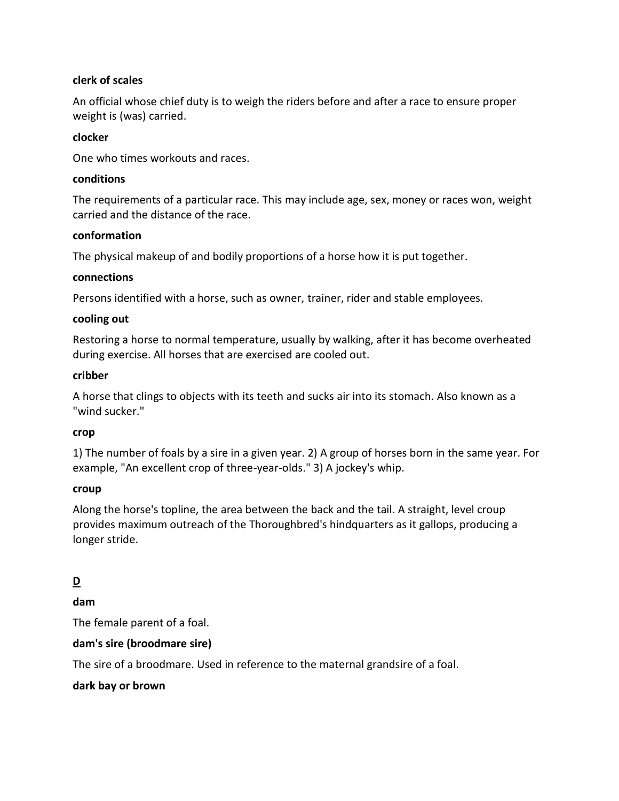### **clerk of scales**

An official whose chief duty is to weigh the riders before and after a race to ensure proper weight is (was) carried.

### **clocker**

One who times workouts and races.

### **conditions**

The requirements of a particular race. This may include age, sex, money or races won, weight carried and the distance of the race.

### **conformation**

The physical makeup of and bodily proportions of a horse how it is put together.

### **connections**

Persons identified with a horse, such as owner, trainer, rider and stable employees.

### **cooling out**

Restoring a horse to normal temperature, usually by walking, after it has become overheated during exercise. All horses that are exercised are cooled out.

### **cribber**

A horse that clings to objects with its teeth and sucks air into its stomach. Also known as a "wind sucker."

# **crop**

1) The number of foals by a sire in a given year. 2) A group of horses born in the same year. For example, "An excellent crop of three-year-olds." 3) A jockey's whip.

# **croup**

Along the horse's topline, the area between the back and the tail. A straight, level croup provides maximum outreach of the Thoroughbred's hindquarters as it gallops, producing a longer stride.

# **D**

**dam**

The female parent of a foal.

# **dam's sire (broodmare sire)**

The sire of a broodmare. Used in reference to the maternal grandsire of a foal.

# **dark bay or brown**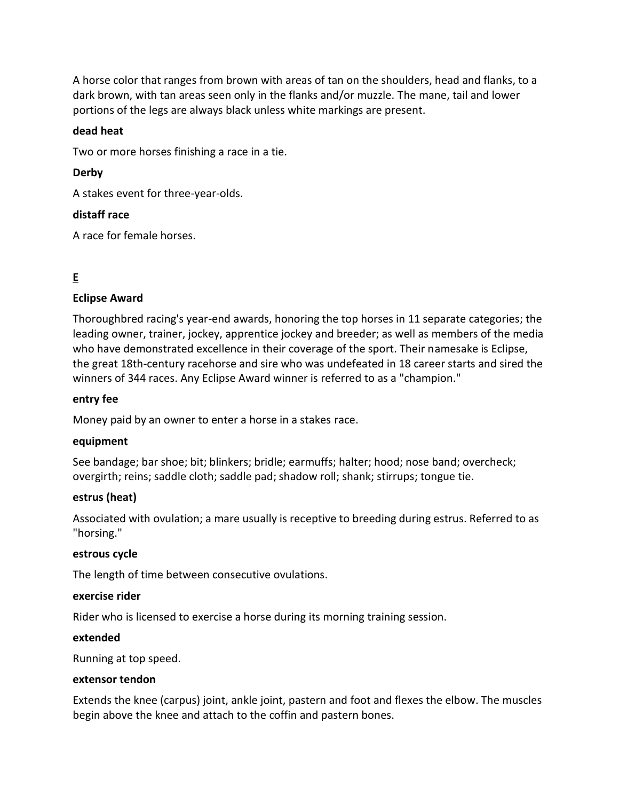A horse color that ranges from brown with areas of tan on the shoulders, head and flanks, to a dark brown, with tan areas seen only in the flanks and/or muzzle. The mane, tail and lower portions of the legs are always black unless white markings are present.

### **dead heat**

Two or more horses finishing a race in a tie.

# **Derby**

A stakes event for three-year-olds.

### **distaff race**

A race for female horses.

# **E**

# **Eclipse Award**

Thoroughbred racing's year-end awards, honoring the top horses in 11 separate categories; the leading owner, trainer, jockey, apprentice jockey and breeder; as well as members of the media who have demonstrated excellence in their coverage of the sport. Their namesake is Eclipse, the great 18th-century racehorse and sire who was undefeated in 18 career starts and sired the winners of 344 races. Any Eclipse Award winner is referred to as a "champion."

### **entry fee**

Money paid by an owner to enter a horse in a stakes race.

### **equipment**

See bandage; bar shoe; bit; blinkers; bridle; earmuffs; halter; hood; nose band; overcheck; overgirth; reins; saddle cloth; saddle pad; shadow roll; shank; stirrups; tongue tie.

### **estrus (heat)**

Associated with ovulation; a mare usually is receptive to breeding during estrus. Referred to as "horsing."

### **estrous cycle**

The length of time between consecutive ovulations.

### **exercise rider**

Rider who is licensed to exercise a horse during its morning training session.

#### **extended**

Running at top speed.

#### **extensor tendon**

Extends the knee (carpus) joint, ankle joint, pastern and foot and flexes the elbow. The muscles begin above the knee and attach to the coffin and pastern bones.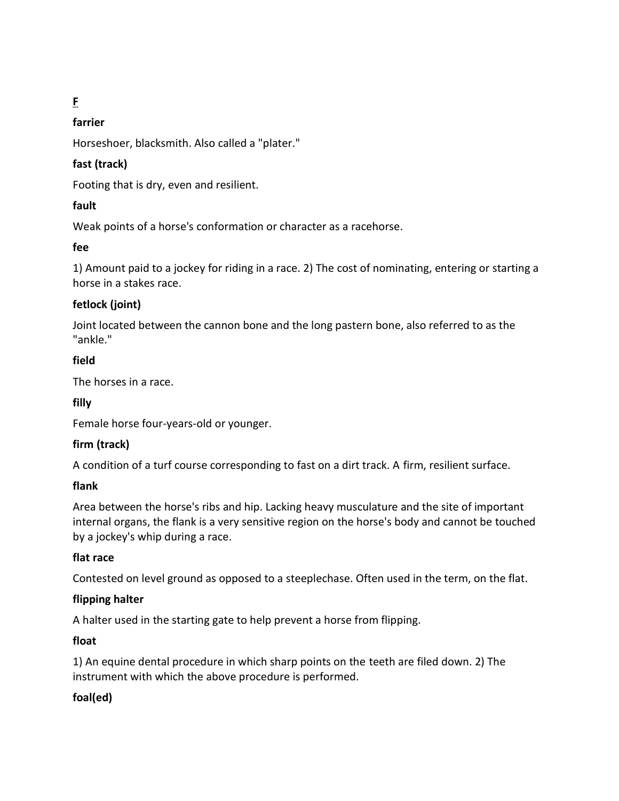# **F**

# **farrier**

Horseshoer, blacksmith. Also called a "plater."

# **fast (track)**

Footing that is dry, even and resilient.

# **fault**

Weak points of a horse's conformation or character as a racehorse.

# **fee**

1) Amount paid to a jockey for riding in a race. 2) The cost of nominating, entering or starting a horse in a stakes race.

# **fetlock (joint)**

Joint located between the cannon bone and the long pastern bone, also referred to as the "ankle."

# **field**

The horses in a race.

# **filly**

Female horse four-years-old or younger.

# **firm (track)**

A condition of a turf course corresponding to fast on a dirt track. A firm, resilient surface.

# **flank**

Area between the horse's ribs and hip. Lacking heavy musculature and the site of important internal organs, the flank is a very sensitive region on the horse's body and cannot be touched by a jockey's whip during a race.

# **flat race**

Contested on level ground as opposed to a steeplechase. Often used in the term, on the flat.

# **flipping halter**

A halter used in the starting gate to help prevent a horse from flipping.

# **float**

1) An equine dental procedure in which sharp points on the teeth are filed down. 2) The instrument with which the above procedure is performed.

# **foal(ed)**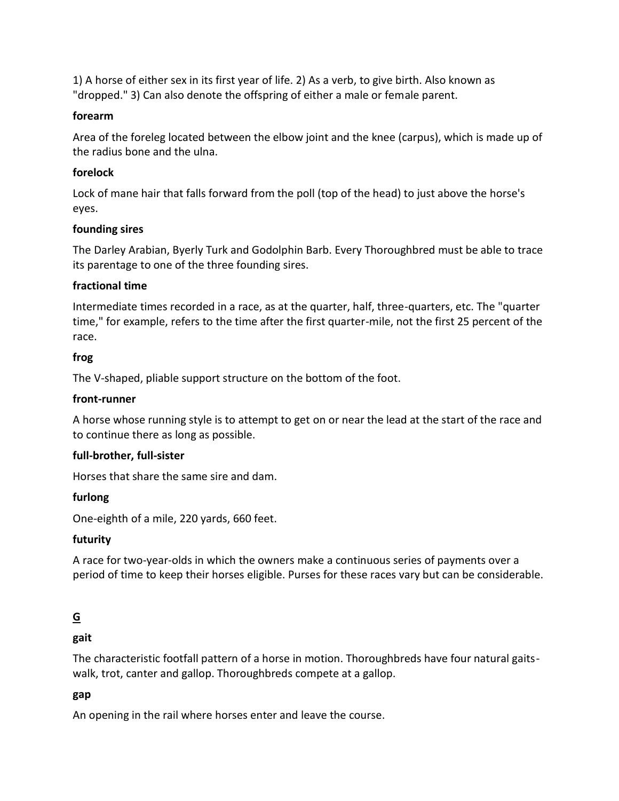1) A horse of either sex in its first year of life. 2) As a verb, to give birth. Also known as "dropped." 3) Can also denote the offspring of either a male or female parent.

### **forearm**

Area of the foreleg located between the elbow joint and the knee (carpus), which is made up of the radius bone and the ulna.

# **forelock**

Lock of mane hair that falls forward from the poll (top of the head) to just above the horse's eyes.

# **founding sires**

The Darley Arabian, Byerly Turk and Godolphin Barb. Every Thoroughbred must be able to trace its parentage to one of the three founding sires.

# **fractional time**

Intermediate times recorded in a race, as at the quarter, half, three-quarters, etc. The "quarter time," for example, refers to the time after the first quarter-mile, not the first 25 percent of the race.

# **frog**

The V-shaped, pliable support structure on the bottom of the foot.

# **front-runner**

A horse whose running style is to attempt to get on or near the lead at the start of the race and to continue there as long as possible.

# **full-brother, full-sister**

Horses that share the same sire and dam.

# **furlong**

One-eighth of a mile, 220 yards, 660 feet.

# **futurity**

A race for two-year-olds in which the owners make a continuous series of payments over a period of time to keep their horses eligible. Purses for these races vary but can be considerable.

# **G**

# **gait**

The characteristic footfall pattern of a horse in motion. Thoroughbreds have four natural gaitswalk, trot, canter and gallop. Thoroughbreds compete at a gallop.

# **gap**

An opening in the rail where horses enter and leave the course.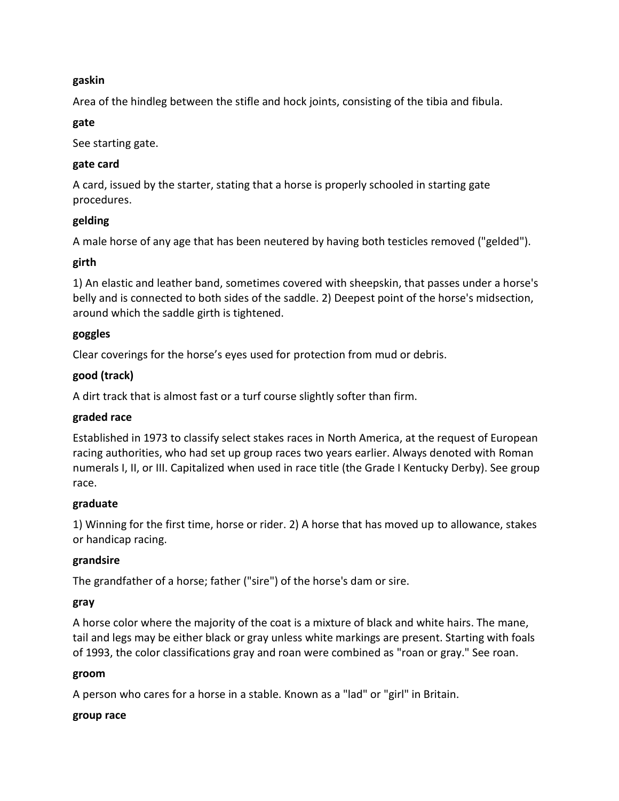### **gaskin**

Area of the hindleg between the stifle and hock joints, consisting of the tibia and fibula.

### **gate**

See starting gate.

### **gate card**

A card, issued by the starter, stating that a horse is properly schooled in starting gate procedures.

# **gelding**

A male horse of any age that has been neutered by having both testicles removed ("gelded").

# **girth**

1) An elastic and leather band, sometimes covered with sheepskin, that passes under a horse's belly and is connected to both sides of the saddle. 2) Deepest point of the horse's midsection, around which the saddle girth is tightened.

### **goggles**

Clear coverings for the horse's eyes used for protection from mud or debris.

# **good (track)**

A dirt track that is almost fast or a turf course slightly softer than firm.

# **graded race**

Established in 1973 to classify select stakes races in North America, at the request of European racing authorities, who had set up group races two years earlier. Always denoted with Roman numerals I, II, or III. Capitalized when used in race title (the Grade I Kentucky Derby). See group race.

# **graduate**

1) Winning for the first time, horse or rider. 2) A horse that has moved up to allowance, stakes or handicap racing.

# **grandsire**

The grandfather of a horse; father ("sire") of the horse's dam or sire.

### **gray**

A horse color where the majority of the coat is a mixture of black and white hairs. The mane, tail and legs may be either black or gray unless white markings are present. Starting with foals of 1993, the color classifications gray and roan were combined as "roan or gray." See roan.

### **groom**

A person who cares for a horse in a stable. Known as a "lad" or "girl" in Britain.

### **group race**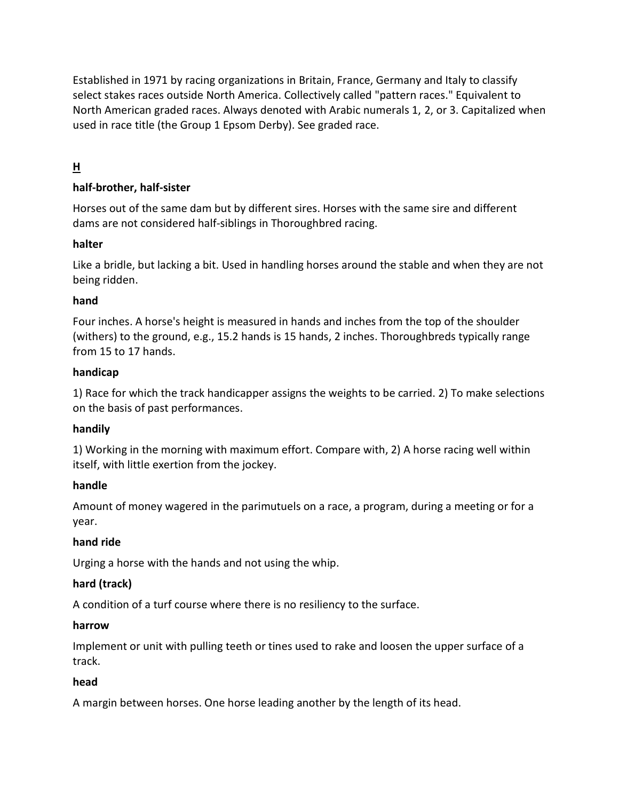Established in 1971 by racing organizations in Britain, France, Germany and Italy to classify select stakes races outside North America. Collectively called "pattern races." Equivalent to North American graded races. Always denoted with Arabic numerals 1, 2, or 3. Capitalized when used in race title (the Group 1 Epsom Derby). See graded race.

# **H**

# **half-brother, half-sister**

Horses out of the same dam but by different sires. Horses with the same sire and different dams are not considered half-siblings in Thoroughbred racing.

# **halter**

Like a bridle, but lacking a bit. Used in handling horses around the stable and when they are not being ridden.

# **hand**

Four inches. A horse's height is measured in hands and inches from the top of the shoulder (withers) to the ground, e.g., 15.2 hands is 15 hands, 2 inches. Thoroughbreds typically range from 15 to 17 hands.

### **handicap**

1) Race for which the track handicapper assigns the weights to be carried. 2) To make selections on the basis of past performances.

# **handily**

1) Working in the morning with maximum effort. Compare with, 2) A horse racing well within itself, with little exertion from the jockey.

### **handle**

Amount of money wagered in the parimutuels on a race, a program, during a meeting or for a year.

# **hand ride**

Urging a horse with the hands and not using the whip.

# **hard (track)**

A condition of a turf course where there is no resiliency to the surface.

### **harrow**

Implement or unit with pulling teeth or tines used to rake and loosen the upper surface of a track.

# **head**

A margin between horses. One horse leading another by the length of its head.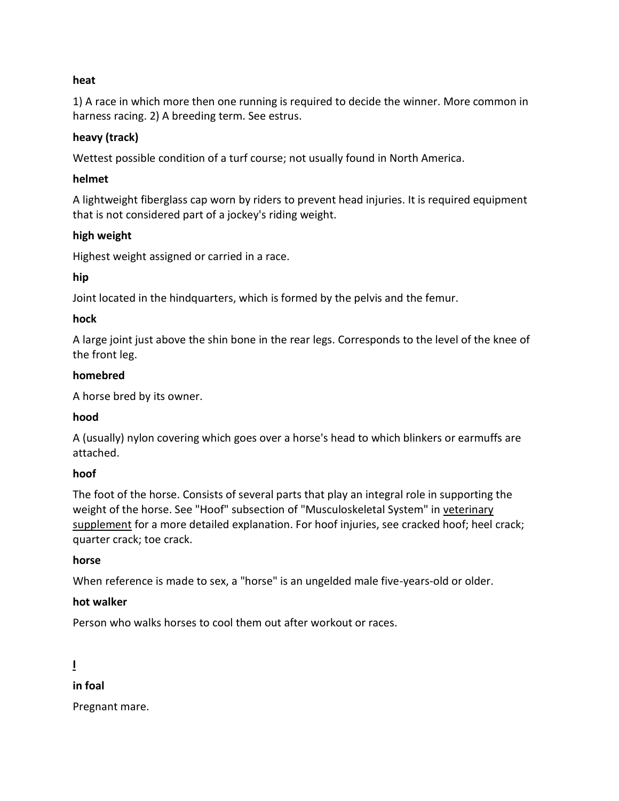### **heat**

1) A race in which more then one running is required to decide the winner. More common in harness racing. 2) A breeding term. See estrus.

### **heavy (track)**

Wettest possible condition of a turf course; not usually found in North America.

### **helmet**

A lightweight fiberglass cap worn by riders to prevent head injuries. It is required equipment that is not considered part of a jockey's riding weight.

### **high weight**

Highest weight assigned or carried in a race.

### **hip**

Joint located in the hindquarters, which is formed by the pelvis and the femur.

### **hock**

A large joint just above the shin bone in the rear legs. Corresponds to the level of the knee of the front leg.

### **homebred**

A horse bred by its owner.

### **hood**

A (usually) nylon covering which goes over a horse's head to which blinkers or earmuffs are attached.

# **hoof**

The foot of the horse. Consists of several parts that play an integral role in supporting the weight of the horse. See "Hoof" subsection of "Musculoskeletal System" in veterinary [supplement](https://www.equibase.com/newfan/glosvetsup.html) for a more detailed explanation. For hoof injuries, see cracked hoof; heel crack; quarter crack; toe crack.

### **horse**

When reference is made to sex, a "horse" is an ungelded male five-years-old or older.

# **hot walker**

Person who walks horses to cool them out after workout or races.

# **I**

# **in foal**

Pregnant mare.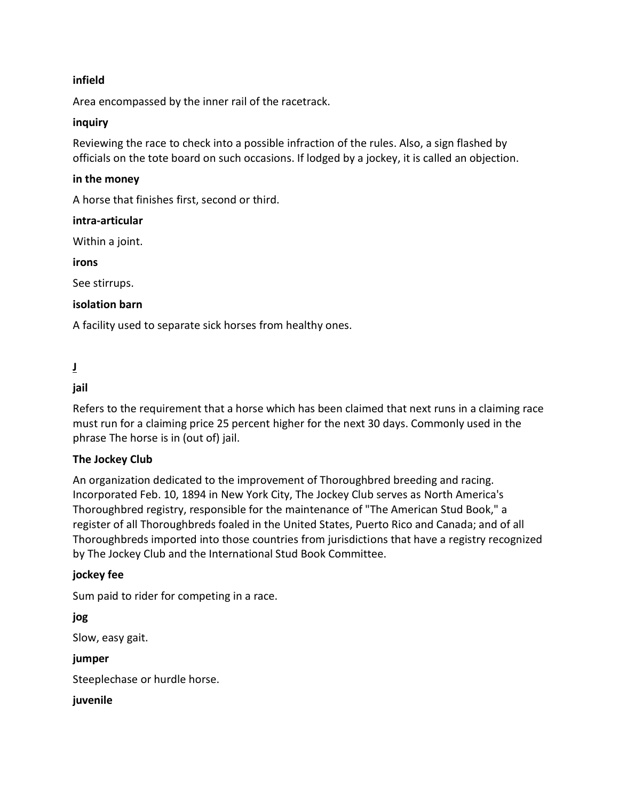### **infield**

Area encompassed by the inner rail of the racetrack.

### **inquiry**

Reviewing the race to check into a possible infraction of the rules. Also, a sign flashed by officials on the tote board on such occasions. If lodged by a jockey, it is called an objection.

### **in the money**

A horse that finishes first, second or third.

### **intra-articular**

Within a joint.

**irons**

See stirrups.

### **isolation barn**

A facility used to separate sick horses from healthy ones.

# **J**

# **jail**

Refers to the requirement that a horse which has been claimed that next runs in a claiming race must run for a claiming price 25 percent higher for the next 30 days. Commonly used in the phrase The horse is in (out of) jail.

# **The Jockey Club**

An organization dedicated to the improvement of Thoroughbred breeding and racing. Incorporated Feb. 10, 1894 in New York City, The Jockey Club serves as North America's Thoroughbred registry, responsible for the maintenance of "The American Stud Book," a register of all Thoroughbreds foaled in the United States, Puerto Rico and Canada; and of all Thoroughbreds imported into those countries from jurisdictions that have a registry recognized by The Jockey Club and the International Stud Book Committee.

### **jockey fee**

Sum paid to rider for competing in a race.

**jog** Slow, easy gait. **jumper** Steeplechase or hurdle horse. **juvenile**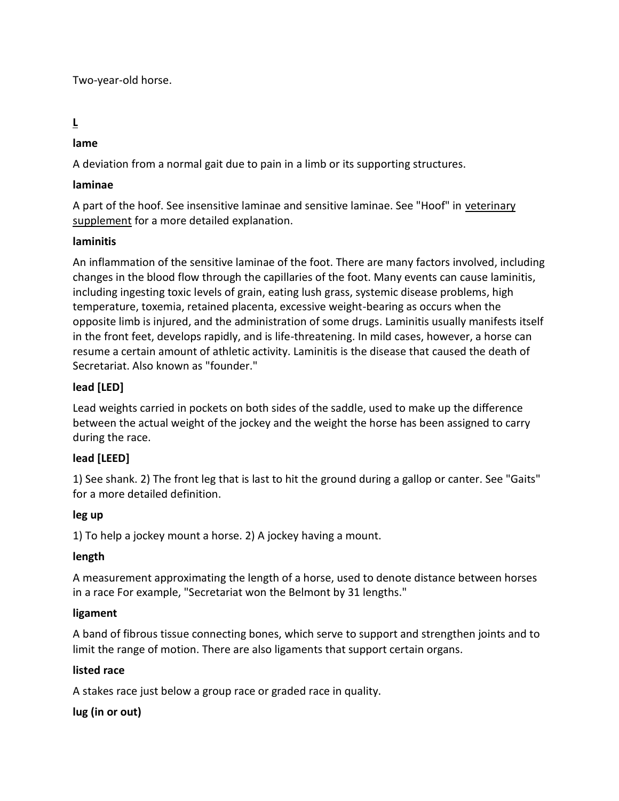Two-year-old horse.

# **L**

# **lame**

A deviation from a normal gait due to pain in a limb or its supporting structures.

# **laminae**

A part of the hoof. See insensitive laminae and sensitive laminae. See "Hoof" in [veterinary](https://www.equibase.com/newfan/glosvetsup.html)  [supplement](https://www.equibase.com/newfan/glosvetsup.html) for a more detailed explanation.

# **laminitis**

An inflammation of the sensitive laminae of the foot. There are many factors involved, including changes in the blood flow through the capillaries of the foot. Many events can cause laminitis, including ingesting toxic levels of grain, eating lush grass, systemic disease problems, high temperature, toxemia, retained placenta, excessive weight-bearing as occurs when the opposite limb is injured, and the administration of some drugs. Laminitis usually manifests itself in the front feet, develops rapidly, and is life-threatening. In mild cases, however, a horse can resume a certain amount of athletic activity. Laminitis is the disease that caused the death of Secretariat. Also known as "founder."

# **lead [LED]**

Lead weights carried in pockets on both sides of the saddle, used to make up the difference between the actual weight of the jockey and the weight the horse has been assigned to carry during the race.

# **lead [LEED]**

1) See shank. 2) The front leg that is last to hit the ground during a gallop or canter. See "Gaits" for a more detailed definition.

# **leg up**

1) To help a jockey mount a horse. 2) A jockey having a mount.

# **length**

A measurement approximating the length of a horse, used to denote distance between horses in a race For example, "Secretariat won the Belmont by 31 lengths."

# **ligament**

A band of fibrous tissue connecting bones, which serve to support and strengthen joints and to limit the range of motion. There are also ligaments that support certain organs.

# **listed race**

A stakes race just below a group race or graded race in quality.

# **lug (in or out)**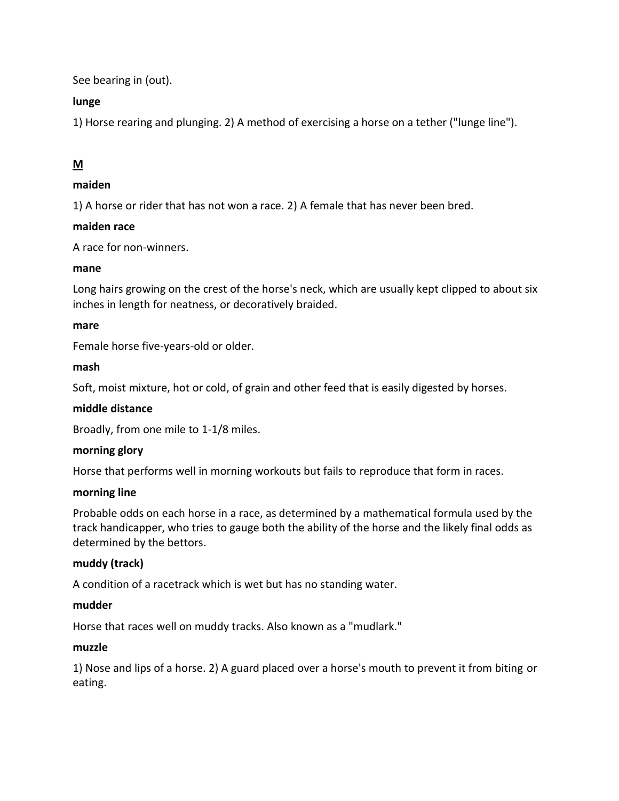See bearing in (out).

# **lunge**

1) Horse rearing and plunging. 2) A method of exercising a horse on a tether ("lunge line").

# **M**

# **maiden**

1) A horse or rider that has not won a race. 2) A female that has never been bred.

# **maiden race**

A race for non-winners.

# **mane**

Long hairs growing on the crest of the horse's neck, which are usually kept clipped to about six inches in length for neatness, or decoratively braided.

### **mare**

Female horse five-years-old or older.

# **mash**

Soft, moist mixture, hot or cold, of grain and other feed that is easily digested by horses.

# **middle distance**

Broadly, from one mile to 1-1/8 miles.

# **morning glory**

Horse that performs well in morning workouts but fails to reproduce that form in races.

### **morning line**

Probable odds on each horse in a race, as determined by a mathematical formula used by the track handicapper, who tries to gauge both the ability of the horse and the likely final odds as determined by the bettors.

# **muddy (track)**

A condition of a racetrack which is wet but has no standing water.

### **mudder**

Horse that races well on muddy tracks. Also known as a "mudlark."

# **muzzle**

1) Nose and lips of a horse. 2) A guard placed over a horse's mouth to prevent it from biting or eating.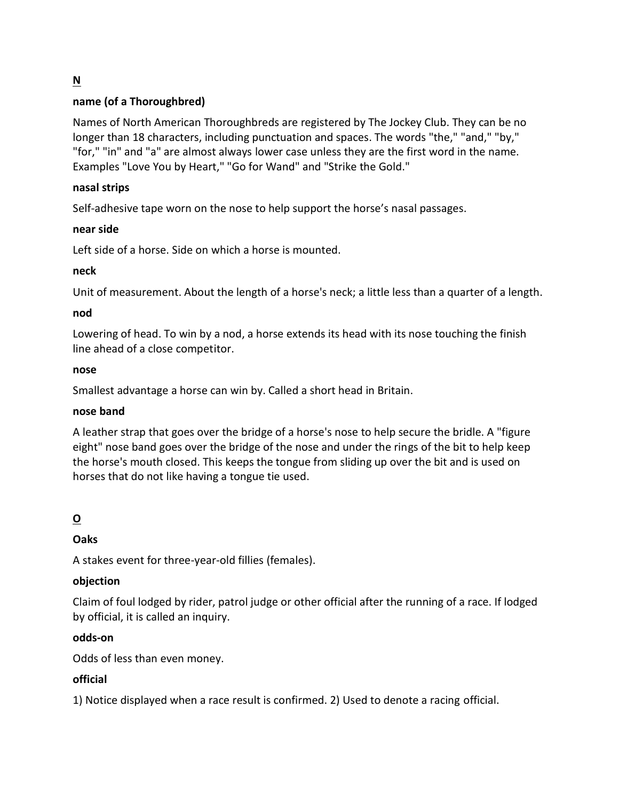# **N**

# **name (of a Thoroughbred)**

Names of North American Thoroughbreds are registered by The Jockey Club. They can be no longer than 18 characters, including punctuation and spaces. The words "the," "and," "by," "for," "in" and "a" are almost always lower case unless they are the first word in the name. Examples "Love You by Heart," "Go for Wand" and "Strike the Gold."

### **nasal strips**

Self-adhesive tape worn on the nose to help support the horse's nasal passages.

### **near side**

Left side of a horse. Side on which a horse is mounted.

### **neck**

Unit of measurement. About the length of a horse's neck; a little less than a quarter of a length.

### **nod**

Lowering of head. To win by a nod, a horse extends its head with its nose touching the finish line ahead of a close competitor.

### **nose**

Smallest advantage a horse can win by. Called a short head in Britain.

### **nose band**

A leather strap that goes over the bridge of a horse's nose to help secure the bridle. A "figure eight" nose band goes over the bridge of the nose and under the rings of the bit to help keep the horse's mouth closed. This keeps the tongue from sliding up over the bit and is used on horses that do not like having a tongue tie used.

# **O**

# **Oaks**

A stakes event for three-year-old fillies (females).

# **objection**

Claim of foul lodged by rider, patrol judge or other official after the running of a race. If lodged by official, it is called an inquiry.

### **odds-on**

Odds of less than even money.

# **official**

1) Notice displayed when a race result is confirmed. 2) Used to denote a racing official.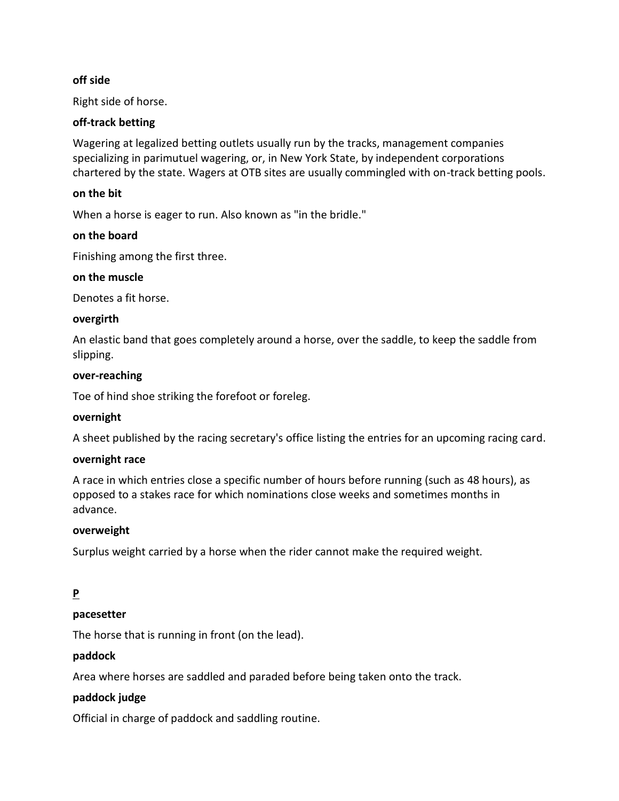### **off side**

Right side of horse.

### **off-track betting**

Wagering at legalized betting outlets usually run by the tracks, management companies specializing in parimutuel wagering, or, in New York State, by independent corporations chartered by the state. Wagers at OTB sites are usually commingled with on-track betting pools.

### **on the bit**

When a horse is eager to run. Also known as "in the bridle."

#### **on the board**

Finishing among the first three.

#### **on the muscle**

Denotes a fit horse.

#### **overgirth**

An elastic band that goes completely around a horse, over the saddle, to keep the saddle from slipping.

#### **over-reaching**

Toe of hind shoe striking the forefoot or foreleg.

#### **overnight**

A sheet published by the racing secretary's office listing the entries for an upcoming racing card.

#### **overnight race**

A race in which entries close a specific number of hours before running (such as 48 hours), as opposed to a stakes race for which nominations close weeks and sometimes months in advance.

#### **overweight**

Surplus weight carried by a horse when the rider cannot make the required weight.

# **P**

### **pacesetter**

The horse that is running in front (on the lead).

#### **paddock**

Area where horses are saddled and paraded before being taken onto the track.

### **paddock judge**

Official in charge of paddock and saddling routine.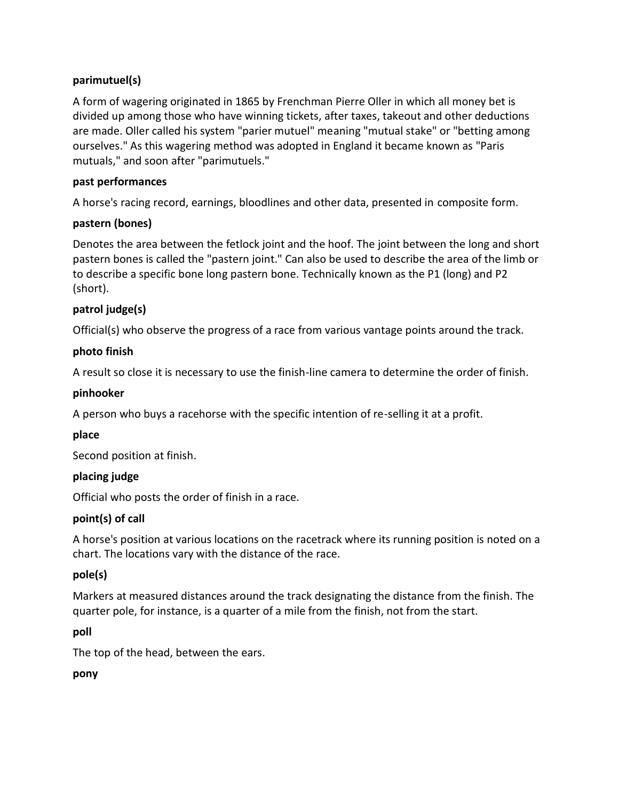# **parimutuel(s)**

A form of wagering originated in 1865 by Frenchman Pierre Oller in which all money bet is divided up among those who have winning tickets, after taxes, takeout and other deductions are made. Oller called his system "parier mutuel" meaning "mutual stake" or "betting among ourselves." As this wagering method was adopted in England it became known as "Paris mutuals," and soon after "parimutuels."

# **past performances**

A horse's racing record, earnings, bloodlines and other data, presented in composite form.

# **pastern (bones)**

Denotes the area between the fetlock joint and the hoof. The joint between the long and short pastern bones is called the "pastern joint." Can also be used to describe the area of the limb or to describe a specific bone long pastern bone. Technically known as the P1 (long) and P2 (short).

# **patrol judge(s)**

Official(s) who observe the progress of a race from various vantage points around the track.

# **photo finish**

A result so close it is necessary to use the finish-line camera to determine the order of finish.

# **pinhooker**

A person who buys a racehorse with the specific intention of re-selling it at a profit.

# **place**

Second position at finish.

# **placing judge**

Official who posts the order of finish in a race.

# **point(s) of call**

A horse's position at various locations on the racetrack where its running position is noted on a chart. The locations vary with the distance of the race.

# **pole(s)**

Markers at measured distances around the track designating the distance from the finish. The quarter pole, for instance, is a quarter of a mile from the finish, not from the start.

# **poll**

The top of the head, between the ears.

# **pony**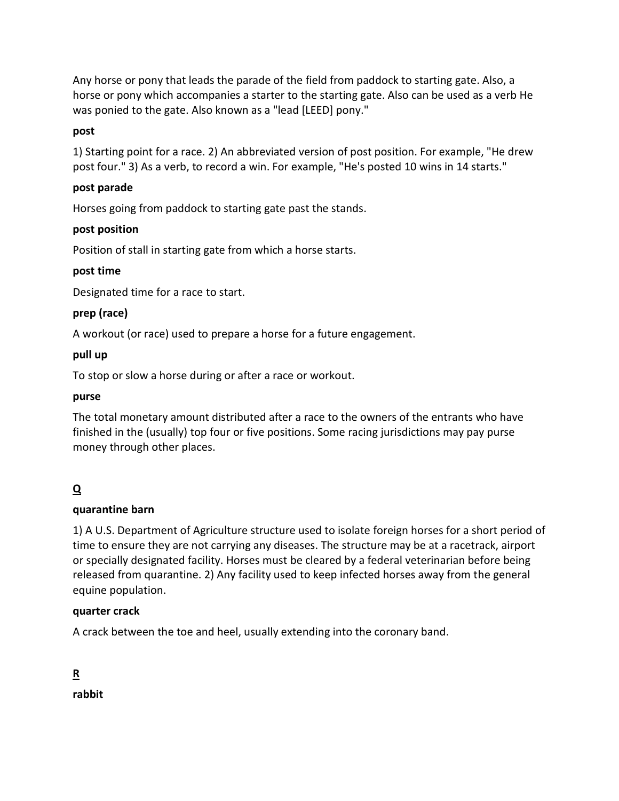Any horse or pony that leads the parade of the field from paddock to starting gate. Also, a horse or pony which accompanies a starter to the starting gate. Also can be used as a verb He was ponied to the gate. Also known as a "lead [LEED] pony."

# **post**

1) Starting point for a race. 2) An abbreviated version of post position. For example, "He drew post four." 3) As a verb, to record a win. For example, "He's posted 10 wins in 14 starts."

# **post parade**

Horses going from paddock to starting gate past the stands.

# **post position**

Position of stall in starting gate from which a horse starts.

# **post time**

Designated time for a race to start.

# **prep (race)**

A workout (or race) used to prepare a horse for a future engagement.

# **pull up**

To stop or slow a horse during or after a race or workout.

# **purse**

The total monetary amount distributed after a race to the owners of the entrants who have finished in the (usually) top four or five positions. Some racing jurisdictions may pay purse money through other places.

# **Q**

# **quarantine barn**

1) A U.S. Department of Agriculture structure used to isolate foreign horses for a short period of time to ensure they are not carrying any diseases. The structure may be at a racetrack, airport or specially designated facility. Horses must be cleared by a federal veterinarian before being released from quarantine. 2) Any facility used to keep infected horses away from the general equine population.

# **quarter crack**

A crack between the toe and heel, usually extending into the coronary band.

**R**

**rabbit**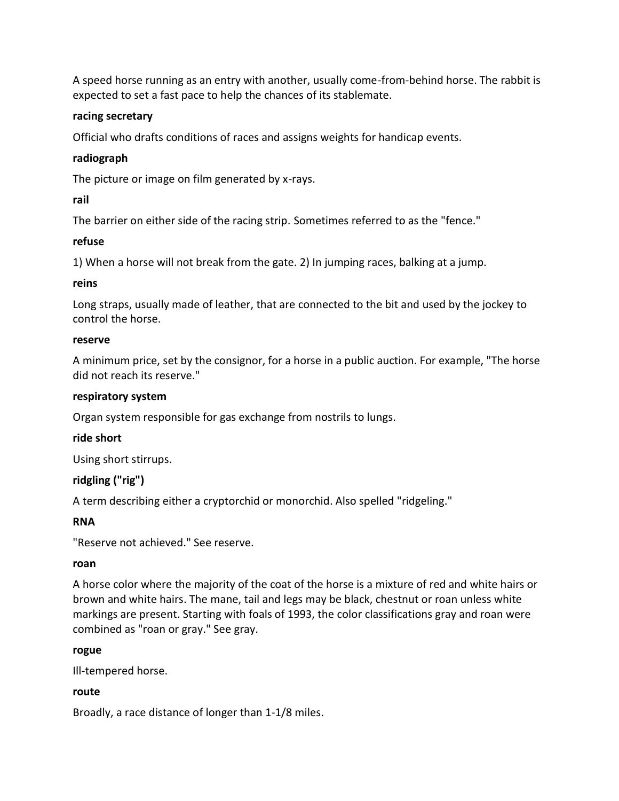A speed horse running as an entry with another, usually come-from-behind horse. The rabbit is expected to set a fast pace to help the chances of its stablemate.

### **racing secretary**

Official who drafts conditions of races and assigns weights for handicap events.

# **radiograph**

The picture or image on film generated by x-rays.

# **rail**

The barrier on either side of the racing strip. Sometimes referred to as the "fence."

# **refuse**

1) When a horse will not break from the gate. 2) In jumping races, balking at a jump.

# **reins**

Long straps, usually made of leather, that are connected to the bit and used by the jockey to control the horse.

### **reserve**

A minimum price, set by the consignor, for a horse in a public auction. For example, "The horse did not reach its reserve."

# **respiratory system**

Organ system responsible for gas exchange from nostrils to lungs.

# **ride short**

Using short stirrups.

# **ridgling ("rig")**

A term describing either a cryptorchid or monorchid. Also spelled "ridgeling."

# **RNA**

"Reserve not achieved." See reserve.

# **roan**

A horse color where the majority of the coat of the horse is a mixture of red and white hairs or brown and white hairs. The mane, tail and legs may be black, chestnut or roan unless white markings are present. Starting with foals of 1993, the color classifications gray and roan were combined as "roan or gray." See gray.

# **rogue**

Ill-tempered horse.

# **route**

Broadly, a race distance of longer than 1-1/8 miles.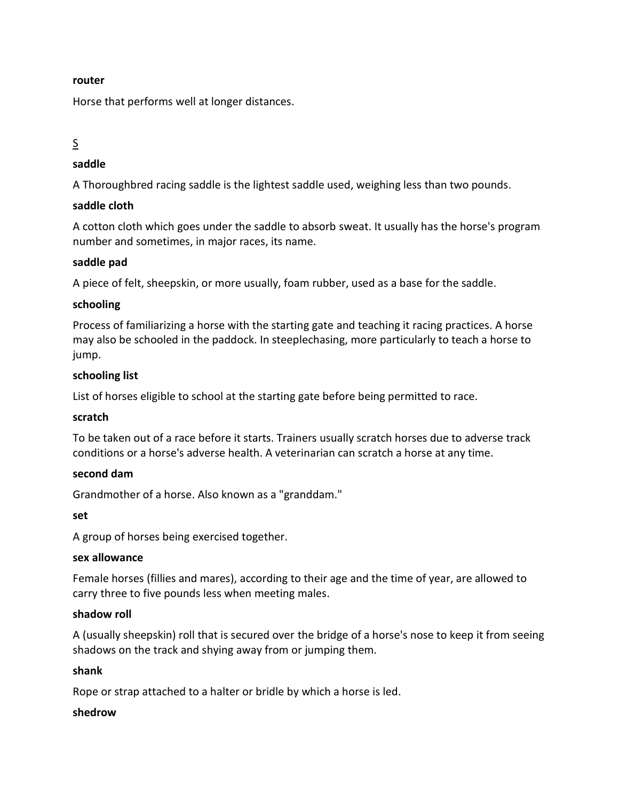#### **router**

Horse that performs well at longer distances.

# S

# **saddle**

A Thoroughbred racing saddle is the lightest saddle used, weighing less than two pounds.

### **saddle cloth**

A cotton cloth which goes under the saddle to absorb sweat. It usually has the horse's program number and sometimes, in major races, its name.

### **saddle pad**

A piece of felt, sheepskin, or more usually, foam rubber, used as a base for the saddle.

### **schooling**

Process of familiarizing a horse with the starting gate and teaching it racing practices. A horse may also be schooled in the paddock. In steeplechasing, more particularly to teach a horse to jump.

### **schooling list**

List of horses eligible to school at the starting gate before being permitted to race.

### **scratch**

To be taken out of a race before it starts. Trainers usually scratch horses due to adverse track conditions or a horse's adverse health. A veterinarian can scratch a horse at any time.

### **second dam**

Grandmother of a horse. Also known as a "granddam."

### **set**

A group of horses being exercised together.

### **sex allowance**

Female horses (fillies and mares), according to their age and the time of year, are allowed to carry three to five pounds less when meeting males.

### **shadow roll**

A (usually sheepskin) roll that is secured over the bridge of a horse's nose to keep it from seeing shadows on the track and shying away from or jumping them.

### **shank**

Rope or strap attached to a halter or bridle by which a horse is led.

### **shedrow**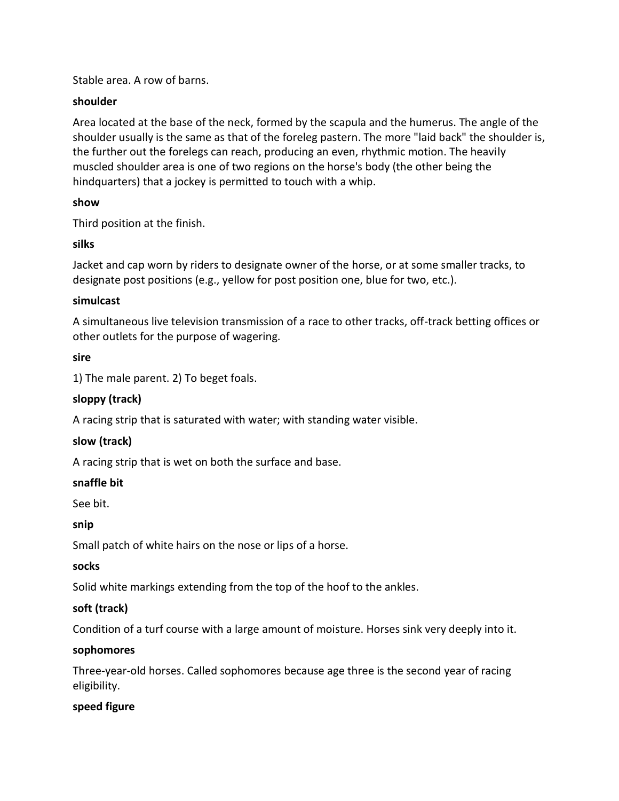Stable area. A row of barns.

### **shoulder**

Area located at the base of the neck, formed by the scapula and the humerus. The angle of the shoulder usually is the same as that of the foreleg pastern. The more "laid back" the shoulder is, the further out the forelegs can reach, producing an even, rhythmic motion. The heavily muscled shoulder area is one of two regions on the horse's body (the other being the hindquarters) that a jockey is permitted to touch with a whip.

### **show**

Third position at the finish.

# **silks**

Jacket and cap worn by riders to designate owner of the horse, or at some smaller tracks, to designate post positions (e.g., yellow for post position one, blue for two, etc.).

### **simulcast**

A simultaneous live television transmission of a race to other tracks, off-track betting offices or other outlets for the purpose of wagering.

# **sire**

1) The male parent. 2) To beget foals.

# **sloppy (track)**

A racing strip that is saturated with water; with standing water visible.

# **slow (track)**

A racing strip that is wet on both the surface and base.

# **snaffle bit**

See bit.

# **snip**

Small patch of white hairs on the nose or lips of a horse.

# **socks**

Solid white markings extending from the top of the hoof to the ankles.

# **soft (track)**

Condition of a turf course with a large amount of moisture. Horses sink very deeply into it.

# **sophomores**

Three-year-old horses. Called sophomores because age three is the second year of racing eligibility.

# **speed figure**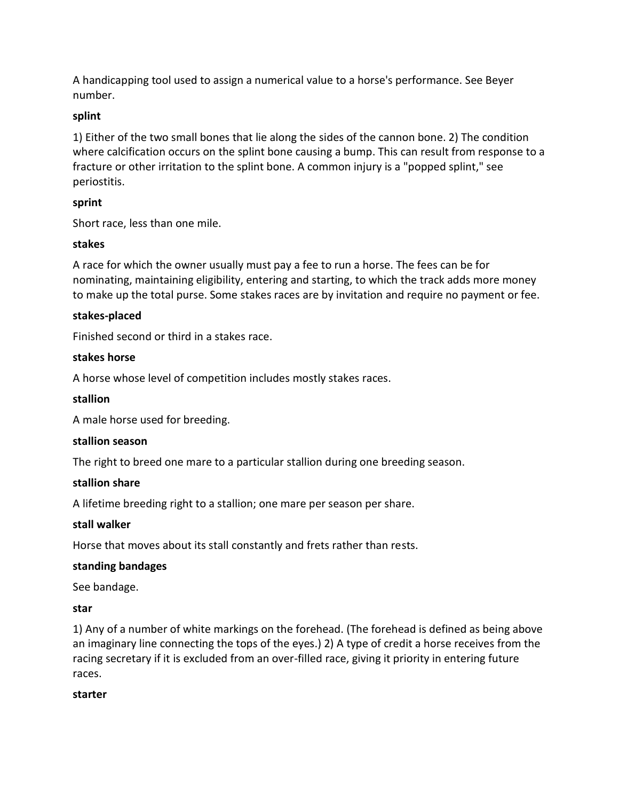A handicapping tool used to assign a numerical value to a horse's performance. See Beyer number.

# **splint**

1) Either of the two small bones that lie along the sides of the cannon bone. 2) The condition where calcification occurs on the splint bone causing a bump. This can result from response to a fracture or other irritation to the splint bone. A common injury is a "popped splint," see periostitis.

# **sprint**

Short race, less than one mile.

### **stakes**

A race for which the owner usually must pay a fee to run a horse. The fees can be for nominating, maintaining eligibility, entering and starting, to which the track adds more money to make up the total purse. Some stakes races are by invitation and require no payment or fee.

### **stakes-placed**

Finished second or third in a stakes race.

### **stakes horse**

A horse whose level of competition includes mostly stakes races.

### **stallion**

A male horse used for breeding.

### **stallion season**

The right to breed one mare to a particular stallion during one breeding season.

### **stallion share**

A lifetime breeding right to a stallion; one mare per season per share.

### **stall walker**

Horse that moves about its stall constantly and frets rather than rests.

### **standing bandages**

See bandage.

### **star**

1) Any of a number of white markings on the forehead. (The forehead is defined as being above an imaginary line connecting the tops of the eyes.) 2) A type of credit a horse receives from the racing secretary if it is excluded from an over-filled race, giving it priority in entering future races.

### **starter**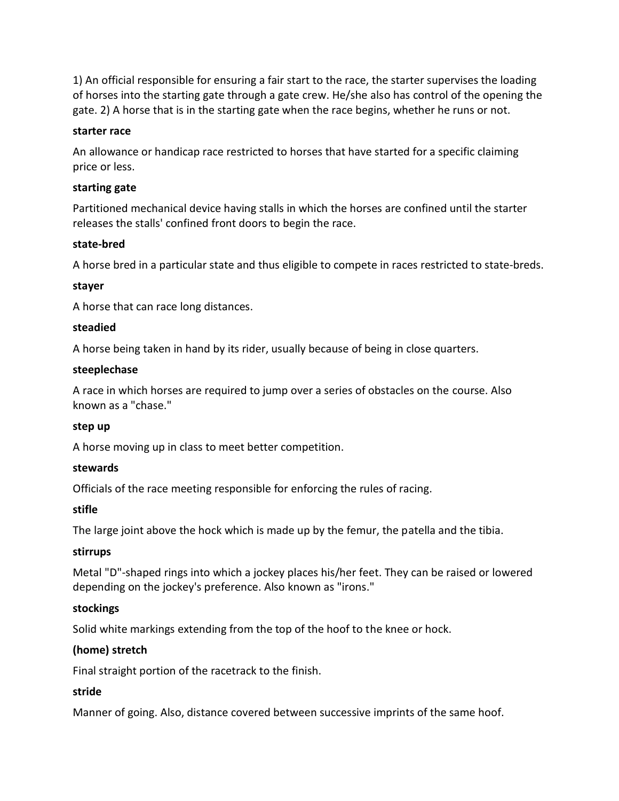1) An official responsible for ensuring a fair start to the race, the starter supervises the loading of horses into the starting gate through a gate crew. He/she also has control of the opening the gate. 2) A horse that is in the starting gate when the race begins, whether he runs or not.

### **starter race**

An allowance or handicap race restricted to horses that have started for a specific claiming price or less.

### **starting gate**

Partitioned mechanical device having stalls in which the horses are confined until the starter releases the stalls' confined front doors to begin the race.

### **state-bred**

A horse bred in a particular state and thus eligible to compete in races restricted to state-breds.

#### **stayer**

A horse that can race long distances.

#### **steadied**

A horse being taken in hand by its rider, usually because of being in close quarters.

#### **steeplechase**

A race in which horses are required to jump over a series of obstacles on the course. Also known as a "chase."

#### **step up**

A horse moving up in class to meet better competition.

#### **stewards**

Officials of the race meeting responsible for enforcing the rules of racing.

### **stifle**

The large joint above the hock which is made up by the femur, the patella and the tibia.

#### **stirrups**

Metal "D"-shaped rings into which a jockey places his/her feet. They can be raised or lowered depending on the jockey's preference. Also known as "irons."

### **stockings**

Solid white markings extending from the top of the hoof to the knee or hock.

### **(home) stretch**

Final straight portion of the racetrack to the finish.

### **stride**

Manner of going. Also, distance covered between successive imprints of the same hoof.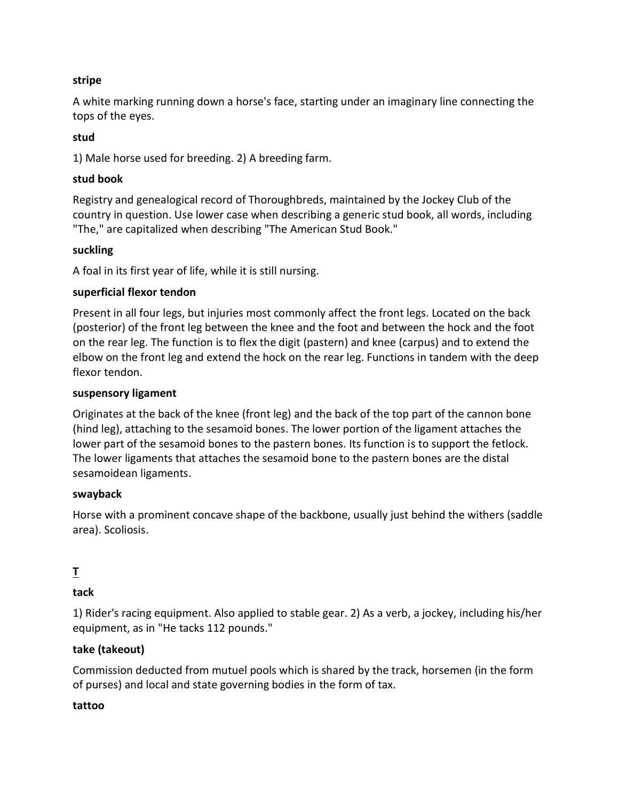### **stripe**

A white marking running down a horse's face, starting under an imaginary line connecting the tops of the eyes.

### **stud**

1) Male horse used for breeding. 2) A breeding farm.

### **stud book**

Registry and genealogical record of Thoroughbreds, maintained by the Jockey Club of the country in question. Use lower case when describing a generic stud book, all words, including "The," are capitalized when describing "The American Stud Book."

### **suckling**

A foal in its first year of life, while it is still nursing.

### **superficial flexor tendon**

Present in all four legs, but injuries most commonly affect the front legs. Located on the back (posterior) of the front leg between the knee and the foot and between the hock and the foot on the rear leg. The function is to flex the digit (pastern) and knee (carpus) and to extend the elbow on the front leg and extend the hock on the rear leg. Functions in tandem with the deep flexor tendon.

### **suspensory ligament**

Originates at the back of the knee (front leg) and the back of the top part of the cannon bone (hind leg), attaching to the sesamoid bones. The lower portion of the ligament attaches the lower part of the sesamoid bones to the pastern bones. Its function is to support the fetlock. The lower ligaments that attaches the sesamoid bone to the pastern bones are the distal sesamoidean ligaments.

### **swayback**

Horse with a prominent concave shape of the backbone, usually just behind the withers (saddle area). Scoliosis.

# **T**

# **tack**

1) Rider's racing equipment. Also applied to stable gear. 2) As a verb, a jockey, including his/her equipment, as in "He tacks 112 pounds."

# **take (takeout)**

Commission deducted from mutuel pools which is shared by the track, horsemen (in the form of purses) and local and state governing bodies in the form of tax.

### **tattoo**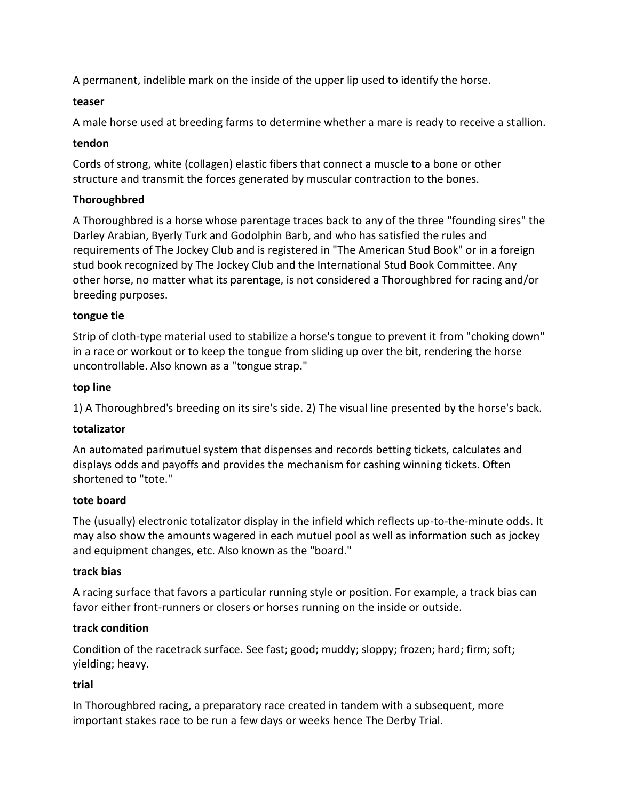A permanent, indelible mark on the inside of the upper lip used to identify the horse.

### **teaser**

A male horse used at breeding farms to determine whether a mare is ready to receive a stallion.

### **tendon**

Cords of strong, white (collagen) elastic fibers that connect a muscle to a bone or other structure and transmit the forces generated by muscular contraction to the bones.

# **Thoroughbred**

A Thoroughbred is a horse whose parentage traces back to any of the three "founding sires" the Darley Arabian, Byerly Turk and Godolphin Barb, and who has satisfied the rules and requirements of The Jockey Club and is registered in "The American Stud Book" or in a foreign stud book recognized by The Jockey Club and the International Stud Book Committee. Any other horse, no matter what its parentage, is not considered a Thoroughbred for racing and/or breeding purposes.

# **tongue tie**

Strip of cloth-type material used to stabilize a horse's tongue to prevent it from "choking down" in a race or workout or to keep the tongue from sliding up over the bit, rendering the horse uncontrollable. Also known as a "tongue strap."

# **top line**

1) A Thoroughbred's breeding on its sire's side. 2) The visual line presented by the horse's back.

# **totalizator**

An automated parimutuel system that dispenses and records betting tickets, calculates and displays odds and payoffs and provides the mechanism for cashing winning tickets. Often shortened to "tote."

# **tote board**

The (usually) electronic totalizator display in the infield which reflects up-to-the-minute odds. It may also show the amounts wagered in each mutuel pool as well as information such as jockey and equipment changes, etc. Also known as the "board."

# **track bias**

A racing surface that favors a particular running style or position. For example, a track bias can favor either front-runners or closers or horses running on the inside or outside.

# **track condition**

Condition of the racetrack surface. See fast; good; muddy; sloppy; frozen; hard; firm; soft; yielding; heavy.

# **trial**

In Thoroughbred racing, a preparatory race created in tandem with a subsequent, more important stakes race to be run a few days or weeks hence The Derby Trial.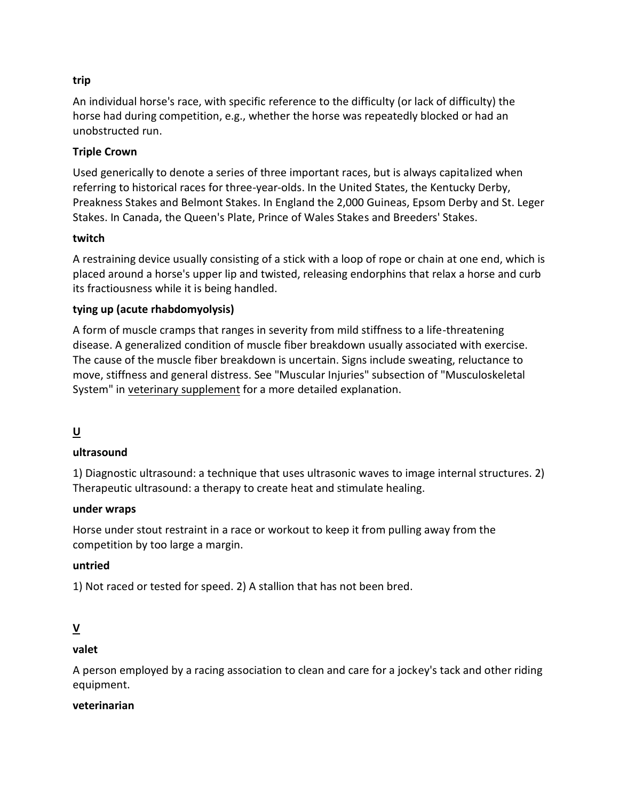# **trip**

An individual horse's race, with specific reference to the difficulty (or lack of difficulty) the horse had during competition, e.g., whether the horse was repeatedly blocked or had an unobstructed run.

### **Triple Crown**

Used generically to denote a series of three important races, but is always capitalized when referring to historical races for three-year-olds. In the United States, the Kentucky Derby, Preakness Stakes and Belmont Stakes. In England the 2,000 Guineas, Epsom Derby and St. Leger Stakes. In Canada, the Queen's Plate, Prince of Wales Stakes and Breeders' Stakes.

### **twitch**

A restraining device usually consisting of a stick with a loop of rope or chain at one end, which is placed around a horse's upper lip and twisted, releasing endorphins that relax a horse and curb its fractiousness while it is being handled.

# **tying up (acute rhabdomyolysis)**

A form of muscle cramps that ranges in severity from mild stiffness to a life-threatening disease. A generalized condition of muscle fiber breakdown usually associated with exercise. The cause of the muscle fiber breakdown is uncertain. Signs include sweating, reluctance to move, stiffness and general distress. See "Muscular Injuries" subsection of "Musculoskeletal System" in [veterinary supplement](https://www.equibase.com/newfan/glosvetsup.html) for a more detailed explanation.

# **U**

# **ultrasound**

1) Diagnostic ultrasound: a technique that uses ultrasonic waves to image internal structures. 2) Therapeutic ultrasound: a therapy to create heat and stimulate healing.

### **under wraps**

Horse under stout restraint in a race or workout to keep it from pulling away from the competition by too large a margin.

### **untried**

1) Not raced or tested for speed. 2) A stallion that has not been bred.

# **V**

# **valet**

A person employed by a racing association to clean and care for a jockey's tack and other riding equipment.

### **veterinarian**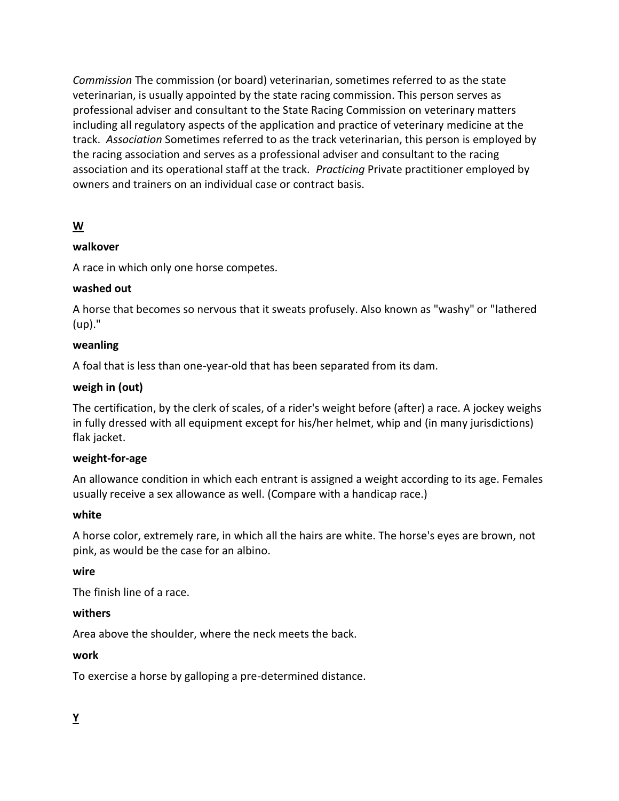*Commission* The commission (or board) veterinarian, sometimes referred to as the state veterinarian, is usually appointed by the state racing commission. This person serves as professional adviser and consultant to the State Racing Commission on veterinary matters including all regulatory aspects of the application and practice of veterinary medicine at the track. *Association* Sometimes referred to as the track veterinarian, this person is employed by the racing association and serves as a professional adviser and consultant to the racing association and its operational staff at the track. *Practicing* Private practitioner employed by owners and trainers on an individual case or contract basis.

# **W**

# **walkover**

A race in which only one horse competes.

# **washed out**

A horse that becomes so nervous that it sweats profusely. Also known as "washy" or "lathered (up)."

# **weanling**

A foal that is less than one-year-old that has been separated from its dam.

# **weigh in (out)**

The certification, by the clerk of scales, of a rider's weight before (after) a race. A jockey weighs in fully dressed with all equipment except for his/her helmet, whip and (in many jurisdictions) flak jacket.

# **weight-for-age**

An allowance condition in which each entrant is assigned a weight according to its age. Females usually receive a sex allowance as well. (Compare with a handicap race.)

# **white**

A horse color, extremely rare, in which all the hairs are white. The horse's eyes are brown, not pink, as would be the case for an albino.

# **wire**

The finish line of a race.

# **withers**

Area above the shoulder, where the neck meets the back.

# **work**

To exercise a horse by galloping a pre-determined distance.